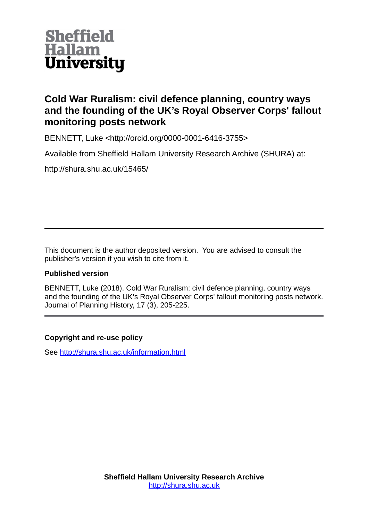

# **Cold War Ruralism: civil defence planning, country ways and the founding of the UK's Royal Observer Corps' fallout monitoring posts network**

BENNETT, Luke <http://orcid.org/0000-0001-6416-3755>

Available from Sheffield Hallam University Research Archive (SHURA) at:

http://shura.shu.ac.uk/15465/

This document is the author deposited version. You are advised to consult the publisher's version if you wish to cite from it.

# **Published version**

BENNETT, Luke (2018). Cold War Ruralism: civil defence planning, country ways and the founding of the UK's Royal Observer Corps' fallout monitoring posts network. Journal of Planning History, 17 (3), 205-225.

# **Copyright and re-use policy**

See<http://shura.shu.ac.uk/information.html>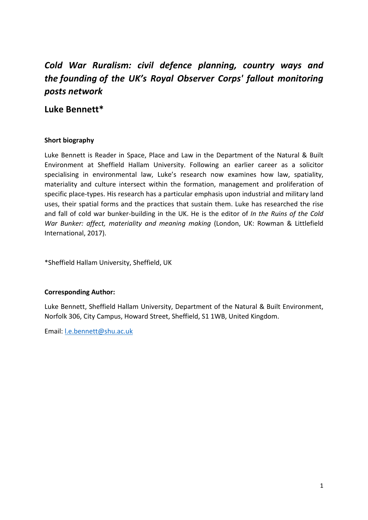# *Cold War Ruralism: civil defence planning, country ways and the founding of the UK's Royal Observer Corps' fallout monitoring posts network*

# **Luke Bennett\***

# **Short biography**

Luke Bennett is Reader in Space, Place and Law in the Department of the Natural & Built Environment at Sheffield Hallam University. Following an earlier career as a solicitor specialising in environmental law, Luke's research now examines how law, spatiality, materiality and culture intersect within the formation, management and proliferation of specific place-types. His research has a particular emphasis upon industrial and military land uses, their spatial forms and the practices that sustain them. Luke has researched the rise and fall of cold war bunker-building in the UK. He is the editor of *In the Ruins of the Cold War Bunker: affect, materiality and meaning making* (London, UK: Rowman & Littlefield International, 2017).

\*Sheffield Hallam University, Sheffield, UK

## **Corresponding Author:**

Luke Bennett, Sheffield Hallam University, Department of the Natural & Built Environment, Norfolk 306, City Campus, Howard Street, Sheffield, S1 1WB, United Kingdom.

Email: [l.e.bennett@shu.ac.uk](mailto:l.e.bennett@shu.ac.uk)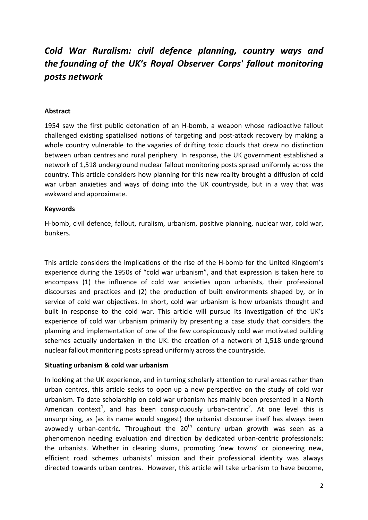# *Cold War Ruralism: civil defence planning, country ways and the founding of the UK's Royal Observer Corps' fallout monitoring posts network*

#### **Abstract**

1954 saw the first public detonation of an H-bomb, a weapon whose radioactive fallout challenged existing spatialised notions of targeting and post-attack recovery by making a whole country vulnerable to the vagaries of drifting toxic clouds that drew no distinction between urban centres and rural periphery. In response, the UK government established a network of 1,518 underground nuclear fallout monitoring posts spread uniformly across the country. This article considers how planning for this new reality brought a diffusion of cold war urban anxieties and ways of doing into the UK countryside, but in a way that was awkward and approximate.

#### **Keywords**

H-bomb, civil defence, fallout, ruralism, urbanism, positive planning, nuclear war, cold war, bunkers.

This article considers the implications of the rise of the H-bomb for the United Kingdom's experience during the 1950s of "cold war urbanism", and that expression is taken here to encompass (1) the influence of cold war anxieties upon urbanists, their professional discourses and practices and (2) the production of built environments shaped by, or in service of cold war objectives. In short, cold war urbanism is how urbanists thought and built in response to the cold war. This article will pursue its investigation of the UK's experience of cold war urbanism primarily by presenting a case study that considers the planning and implementation of one of the few conspicuously cold war motivated building schemes actually undertaken in the UK: the creation of a network of 1,518 underground nuclear fallout monitoring posts spread uniformly across the countryside.

#### **Situating urbanism & cold war urbanism**

In looking at the UK experience, and in turning scholarly attention to rural areas rather than urban centres, this article seeks to open-up a new perspective on the study of cold war urbanism. To date scholarship on cold war urbanism has mainly been presented in a North American context<sup>[1](#page-24-0)</sup>, and has been conspicuously urban-centric<sup>[2](#page-24-1)</sup>. At one level this is unsurprising, as (as its name would suggest) the urbanist discourse itself has always been avowedly urban-centric. Throughout the  $20<sup>th</sup>$  century urban growth was seen as a phenomenon needing evaluation and direction by dedicated urban-centric professionals: the urbanists. Whether in clearing slums, promoting 'new towns' or pioneering new, efficient road schemes urbanists' mission and their professional identity was always directed towards urban centres. However, this article will take urbanism to have become,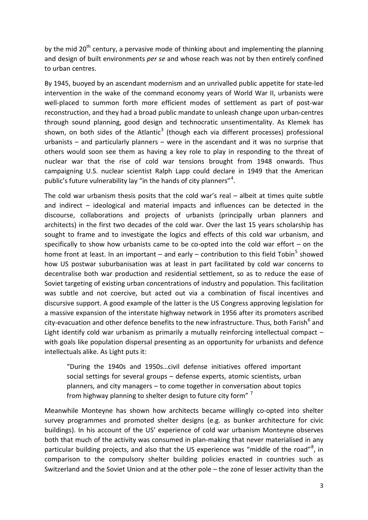by the mid  $20<sup>th</sup>$  century, a pervasive mode of thinking about and implementing the planning and design of built environments *per se* and whose reach was not by then entirely confined to urban centres.

By 1945, buoyed by an ascendant modernism and an unrivalled public appetite for state-led intervention in the wake of the command economy years of World War II, urbanists were well-placed to summon forth more efficient modes of settlement as part of post-war reconstruction, and they had a broad public mandate to unleash change upon urban-centres through sound planning, good design and technocratic unsentimentality. As Klemek has shown, on both sides of the Atlantic<sup>[3](#page-24-2)</sup> (though each via different processes) professional urbanists – and particularly planners – were in the ascendant and it was no surprise that others would soon see them as having a key role to play in responding to the threat of nuclear war that the rise of cold war tensions brought from 1948 onwards. Thus campaigning U.S. nuclear scientist Ralph Lapp could declare in 1949 that the American public's future vulnerability lay "in the hands of city planners"<sup>[4](#page-24-3)</sup>.

The cold war urbanism thesis posits that the cold war's real – albeit at times quite subtle and indirect – ideological and material impacts and influences can be detected in the discourse, collaborations and projects of urbanists (principally urban planners and architects) in the first two decades of the cold war. Over the last 15 years scholarship has sought to frame and to investigate the logics and effects of this cold war urbanism, and specifically to show how urbanists came to be co-opted into the cold war effort – on the home front at least. In an important – and early – contribution to this field Tobin<sup>[5](#page-24-4)</sup> showed how US postwar suburbanisation was at least in part facilitated by cold war concerns to decentralise both war production and residential settlement, so as to reduce the ease of Soviet targeting of existing urban concentrations of industry and population. This facilitation was subtle and not coercive, but acted out via a combination of fiscal incentives and discursive support. A good example of the latter is the US Congress approving legislation for a massive expansion of the interstate highway network in 1956 after its promoters ascribed city-evacuation and other defence benefits to the new infrastructure. Thus, both Farish<sup>[6](#page-24-5)</sup> and Light identify cold war urbanism as primarily a mutually reinforcing intellectual compact with goals like population dispersal presenting as an opportunity for urbanists and defence intellectuals alike. As Light puts it:

"During the 1940s and 1950s…civil defense initiatives offered important social settings for several groups – defense experts, atomic scientists, urban planners, and city managers – to come together in conversation about topics from highway planning to shelter design to future city form"<sup>[7](#page-24-6)</sup>

Meanwhile Monteyne has shown how architects became willingly co-opted into shelter survey programmes and promoted shelter designs (e.g. as bunker architecture for civic buildings). In his account of the US' experience of cold war urbanism Monteyne observes both that much of the activity was consumed in plan-making that never materialised in any particular building projects, and also that the US experience was "middle of the road"<sup>[8](#page-24-7)</sup>, in comparison to the compulsory shelter building policies enacted in countries such as Switzerland and the Soviet Union and at the other pole – the zone of lesser activity than the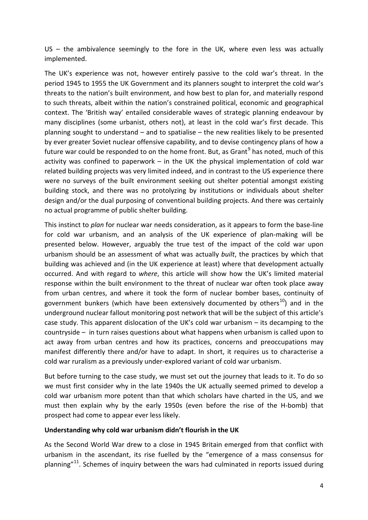$US -$  the ambivalence seemingly to the fore in the UK, where even less was actually implemented.

The UK's experience was not, however entirely passive to the cold war's threat. In the period 1945 to 1955 the UK Government and its planners sought to interpret the cold war's threats to the nation's built environment, and how best to plan for, and materially respond to such threats, albeit within the nation's constrained political, economic and geographical context. The 'British way' entailed considerable waves of strategic planning endeavour by many disciplines (some urbanist, others not), at least in the cold war's first decade. This planning sought to understand – and to spatialise – the new realities likely to be presented by ever greater Soviet nuclear offensive capability, and to devise contingency plans of how a future war could be responded to on the home front. But, as Grant<sup>[9](#page-24-8)</sup> has noted, much of this activity was confined to paperwork  $-$  in the UK the physical implementation of cold war related building projects was very limited indeed, and in contrast to the US experience there were no surveys of the built environment seeking out shelter potential amongst existing building stock, and there was no protolyzing by institutions or individuals about shelter design and/or the dual purposing of conventional building projects. And there was certainly no actual programme of public shelter building.

This instinct to *plan* for nuclear war needs consideration, as it appears to form the base-line for cold war urbanism, and an analysis of the UK experience of plan-making will be presented below. However, arguably the true test of the impact of the cold war upon urbanism should be an assessment of what was actually *built*, the practices by which that building was achieved and (in the UK experience at least) where that development actually occurred. And with regard to *where*, this article will show how the UK's limited material response within the built environment to the threat of nuclear war often took place away from urban centres, and where it took the form of nuclear bomber bases, continuity of government bunkers (which have been extensively documented by others<sup>10</sup>) and in the underground nuclear fallout monitoring post network that will be the subject of this article's case study. This apparent dislocation of the UK's cold war urbanism – its decamping to the countryside – in turn raises questions about what happens when urbanism is called upon to act away from urban centres and how its practices, concerns and preoccupations may manifest differently there and/or have to adapt. In short, it requires us to characterise a cold war ruralism as a previously under-explored variant of cold war urbanism.

But before turning to the case study, we must set out the journey that leads to it. To do so we must first consider why in the late 1940s the UK actually seemed primed to develop a cold war urbanism more potent than that which scholars have charted in the US, and we must then explain why by the early 1950s (even before the rise of the H-bomb) that prospect had come to appear ever less likely.

#### **Understanding why cold war urbanism didn't flourish in the UK**

As the Second World War drew to a close in 1945 Britain emerged from that conflict with urbanism in the ascendant, its rise fuelled by the "emergence of a mass consensus for planning $"^{11}$ . Schemes of inquiry between the wars had culminated in reports issued during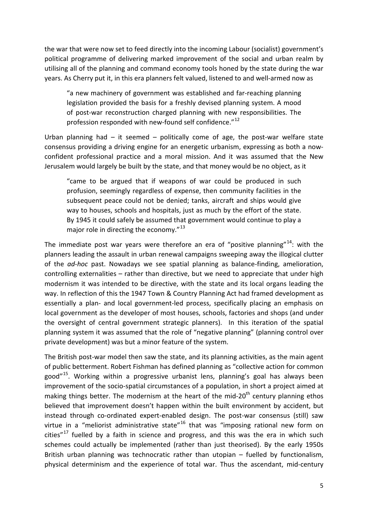the war that were now set to feed directly into the incoming Labour (socialist) government's political programme of delivering marked improvement of the social and urban realm by utilising all of the planning and command economy tools honed by the state during the war years. As Cherry put it, in this era planners felt valued, listened to and well-armed now as

"a new machinery of government was established and far-reaching planning legislation provided the basis for a freshly devised planning system. A mood of post-war reconstruction charged planning with new responsibilities. The profession responded with new-found self confidence."<sup>[12](#page-24-11)</sup>

Urban planning had  $-$  it seemed  $-$  politically come of age, the post-war welfare state consensus providing a driving engine for an energetic urbanism, expressing as both a nowconfident professional practice and a moral mission. And it was assumed that the New Jerusalem would largely be built by the state, and that money would be no object, as it

"came to be argued that if weapons of war could be produced in such profusion, seemingly regardless of expense, then community facilities in the subsequent peace could not be denied; tanks, aircraft and ships would give way to houses, schools and hospitals, just as much by the effort of the state. By 1945 it could safely be assumed that government would continue to play a major role in directing the economy. $^{\prime\prime}$ <sup>[13](#page-24-12)</sup>

The immediate post war years were therefore an era of "positive planning"<sup>[14](#page-24-13)</sup>: with the planners leading the assault in urban renewal campaigns sweeping away the illogical clutter of the *ad-hoc* past. Nowadays we see spatial planning as balance-finding, amelioration, controlling externalities – rather than directive, but we need to appreciate that under high modernism it was intended to be directive, with the state and its local organs leading the way. In reflection of this the 1947 Town & Country Planning Act had framed development as essentially a plan- and local government-led process, specifically placing an emphasis on local government as the developer of most houses, schools, factories and shops (and under the oversight of central government strategic planners). In this iteration of the spatial planning system it was assumed that the role of "negative planning" (planning control over private development) was but a minor feature of the system.

The British post-war model then saw the state, and its planning activities, as the main agent of public betterment. Robert Fishman has defined planning as "collective action for common good"[15](#page-24-14). Working within a progressive urbanist lens, planning's goal has always been improvement of the socio-spatial circumstances of a population, in short a project aimed at making things better. The modernism at the heart of the mid-20<sup>th</sup> century planning ethos believed that improvement doesn't happen within the built environment by accident, but instead through co-ordinated expert-enabled design. The post-war consensus (still) saw virtue in a "meliorist administrative state" $16$  that was "imposing rational new form on cities" $17$  fuelled by a faith in science and progress, and this was the era in which such schemes could actually be implemented (rather than just theorised). By the early 1950s British urban planning was technocratic rather than utopian – fuelled by functionalism, physical determinism and the experience of total war. Thus the ascendant, mid-century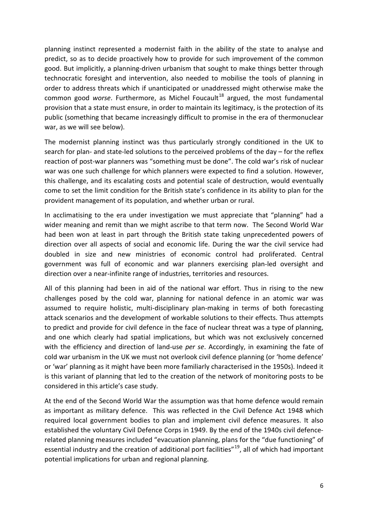planning instinct represented a modernist faith in the ability of the state to analyse and predict, so as to decide proactively how to provide for such improvement of the common good. But implicitly, a planning-driven urbanism that sought to make things better through technocratic foresight and intervention, also needed to mobilise the tools of planning in order to address threats which if unanticipated or unaddressed might otherwise make the common good *worse*. Furthermore, as Michel Foucault<sup>[18](#page-24-17)</sup> argued, the most fundamental provision that a state must ensure, in order to maintain its legitimacy, is the protection of its public (something that became increasingly difficult to promise in the era of thermonuclear war, as we will see below).

The modernist planning instinct was thus particularly strongly conditioned in the UK to search for plan- and state-led solutions to the perceived problems of the day – for the reflex reaction of post-war planners was "something must be done". The cold war's risk of nuclear war was one such challenge for which planners were expected to find a solution. However, this challenge, and its escalating costs and potential scale of destruction, would eventually come to set the limit condition for the British state's confidence in its ability to plan for the provident management of its population, and whether urban or rural.

In acclimatising to the era under investigation we must appreciate that "planning" had a wider meaning and remit than we might ascribe to that term now. The Second World War had been won at least in part through the British state taking unprecedented powers of direction over all aspects of social and economic life. During the war the civil service had doubled in size and new ministries of economic control had proliferated. Central government was full of economic and war planners exercising plan-led oversight and direction over a near-infinite range of industries, territories and resources.

All of this planning had been in aid of the national war effort. Thus in rising to the new challenges posed by the cold war, planning for national defence in an atomic war was assumed to require holistic, multi-disciplinary plan-making in terms of both forecasting attack scenarios and the development of workable solutions to their effects. Thus attempts to predict and provide for civil defence in the face of nuclear threat was a type of planning, and one which clearly had spatial implications, but which was not exclusively concerned with the efficiency and direction of land-use *per se*. Accordingly, in examining the fate of cold war urbanism in the UK we must not overlook civil defence planning (or 'home defence' or 'war' planning as it might have been more familiarly characterised in the 1950s). Indeed it is this variant of planning that led to the creation of the network of monitoring posts to be considered in this article's case study.

At the end of the Second World War the assumption was that home defence would remain as important as military defence. This was reflected in the Civil Defence Act 1948 which required local government bodies to plan and implement civil defence measures. It also established the voluntary Civil Defence Corps in 1949. By the end of the 1940s civil defencerelated planning measures included "evacuation planning, plans for the "due functioning" of essential industry and the creation of additional port facilities"<sup>19</sup>, all of which had important potential implications for urban and regional planning.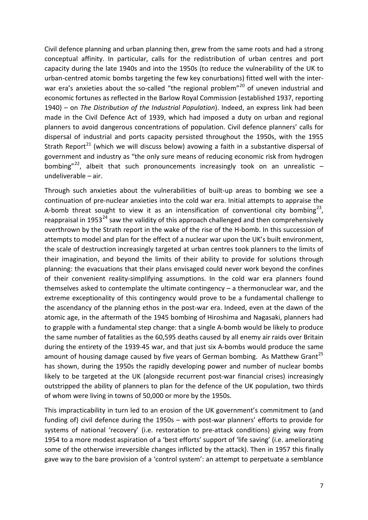Civil defence planning and urban planning then, grew from the same roots and had a strong conceptual affinity. In particular, calls for the redistribution of urban centres and port capacity during the late 1940s and into the 1950s (to reduce the vulnerability of the UK to urban-centred atomic bombs targeting the few key conurbations) fitted well with the inter-war era's anxieties about the so-called "the regional problem"<sup>[20](#page-24-19)</sup> of uneven industrial and economic fortunes as reflected in the Barlow Royal Commission (established 1937, reporting 1940) – on *The Distribution of the Industrial Population*). Indeed, an express link had been made in the Civil Defence Act of 1939, which had imposed a duty on urban and regional planners to avoid dangerous concentrations of population. Civil defence planners' calls for dispersal of industrial and ports capacity persisted throughout the 1950s, with the 1955 Strath Report<sup>[21](#page-24-20)</sup> (which we will discuss below) avowing a faith in a substantive dispersal of government and industry as "the only sure means of reducing economic risk from hydrogen bombing"<sup>22</sup>, albeit that such pronouncements increasingly took on an unrealistic  $$ undeliverable – air.

Through such anxieties about the vulnerabilities of built-up areas to bombing we see a continuation of pre-nuclear anxieties into the cold war era. Initial attempts to appraise the A-bomb threat sought to view it as an intensification of conventional city bombing<sup>[23](#page-24-22)</sup>, reappraisal in 1953<sup>[24](#page-24-23)</sup> saw the validity of this approach challenged and then comprehensively overthrown by the Strath report in the wake of the rise of the H-bomb. In this succession of attempts to model and plan for the effect of a nuclear war upon the UK's built environment, the scale of destruction increasingly targeted at urban centres took planners to the limits of their imagination, and beyond the limits of their ability to provide for solutions through planning: the evacuations that their plans envisaged could never work beyond the confines of their convenient reality-simplifying assumptions. In the cold war era planners found themselves asked to contemplate the ultimate contingency – a thermonuclear war, and the extreme exceptionality of this contingency would prove to be a fundamental challenge to the ascendancy of the planning ethos in the post-war era. Indeed, even at the dawn of the atomic age, in the aftermath of the 1945 bombing of Hiroshima and Nagasaki, planners had to grapple with a fundamental step change: that a single A-bomb would be likely to produce the same number of fatalities as the 60,595 deaths caused by all enemy air raids over Britain during the entirety of the 1939-45 war, and that just six A-bombs would produce the same amount of housing damage caused by five years of German bombing. As Matthew Grant<sup>[25](#page-24-24)</sup> has shown, during the 1950s the rapidly developing power and number of nuclear bombs likely to be targeted at the UK (alongside recurrent post-war financial crises) increasingly outstripped the ability of planners to plan for the defence of the UK population, two thirds of whom were living in towns of 50,000 or more by the 1950s.

This impracticability in turn led to an erosion of the UK government's commitment to (and funding of) civil defence during the 1950s – with post-war planners' efforts to provide for systems of national 'recovery' (i.e. restoration to pre-attack conditions) giving way from 1954 to a more modest aspiration of a 'best efforts' support of 'life saving' (i.e. ameliorating some of the otherwise irreversible changes inflicted by the attack). Then in 1957 this finally gave way to the bare provision of a 'control system': an attempt to perpetuate a semblance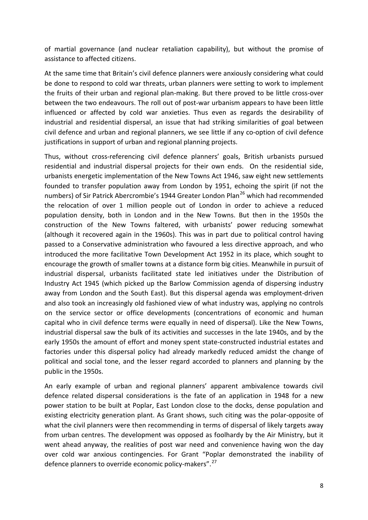of martial governance (and nuclear retaliation capability), but without the promise of assistance to affected citizens.

At the same time that Britain's civil defence planners were anxiously considering what could be done to respond to cold war threats, urban planners were setting to work to implement the fruits of their urban and regional plan-making. But there proved to be little cross-over between the two endeavours. The roll out of post-war urbanism appears to have been little influenced or affected by cold war anxieties. Thus even as regards the desirability of industrial and residential dispersal, an issue that had striking similarities of goal between civil defence and urban and regional planners, we see little if any co-option of civil defence justifications in support of urban and regional planning projects.

Thus, without cross-referencing civil defence planners' goals, British urbanists pursued residential and industrial dispersal projects for their own ends. On the residential side, urbanists energetic implementation of the New Towns Act 1946, saw eight new settlements founded to transfer population away from London by 1951, echoing the spirit (if not the numbers) of Sir Patrick Abercrombie's 1944 Greater London Plan<sup>[26](#page-24-25)</sup> which had recommended the relocation of over 1 million people out of London in order to achieve a reduced population density, both in London and in the New Towns. But then in the 1950s the construction of the New Towns faltered, with urbanists' power reducing somewhat (although it recovered again in the 1960s). This was in part due to political control having passed to a Conservative administration who favoured a less directive approach, and who introduced the more facilitative Town Development Act 1952 in its place, which sought to encourage the growth of smaller towns at a distance form big cities. Meanwhile in pursuit of industrial dispersal, urbanists facilitated state led initiatives under the Distribution of Industry Act 1945 (which picked up the Barlow Commission agenda of dispersing industry away from London and the South East). But this dispersal agenda was employment-driven and also took an increasingly old fashioned view of what industry was, applying no controls on the service sector or office developments (concentrations of economic and human capital who in civil defence terms were equally in need of dispersal). Like the New Towns, industrial dispersal saw the bulk of its activities and successes in the late 1940s, and by the early 1950s the amount of effort and money spent state-constructed industrial estates and factories under this dispersal policy had already markedly reduced amidst the change of political and social tone, and the lesser regard accorded to planners and planning by the public in the 1950s.

An early example of urban and regional planners' apparent ambivalence towards civil defence related dispersal considerations is the fate of an application in 1948 for a new power station to be built at Poplar, East London close to the docks, dense population and existing electricity generation plant. As Grant shows, such citing was the polar-opposite of what the civil planners were then recommending in terms of dispersal of likely targets away from urban centres. The development was opposed as foolhardy by the Air Ministry, but it went ahead anyway, the realities of post war need and convenience having won the day over cold war anxious contingencies. For Grant "Poplar demonstrated the inability of defence planners to override economic policy-makers".<sup>27</sup>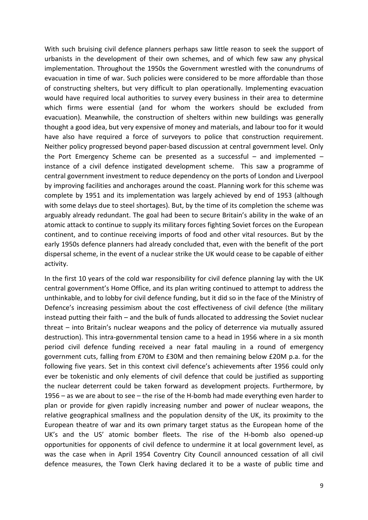With such bruising civil defence planners perhaps saw little reason to seek the support of urbanists in the development of their own schemes, and of which few saw any physical implementation. Throughout the 1950s the Government wrestled with the conundrums of evacuation in time of war. Such policies were considered to be more affordable than those of constructing shelters, but very difficult to plan operationally. Implementing evacuation would have required local authorities to survey every business in their area to determine which firms were essential (and for whom the workers should be excluded from evacuation). Meanwhile, the construction of shelters within new buildings was generally thought a good idea, but very expensive of money and materials, and labour too for it would have also have required a force of surveyors to police that construction requirement. Neither policy progressed beyond paper-based discussion at central government level. Only the Port Emergency Scheme can be presented as a successful – and implemented – instance of a civil defence instigated development scheme. This saw a programme of central government investment to reduce dependency on the ports of London and Liverpool by improving facilities and anchorages around the coast. Planning work for this scheme was complete by 1951 and its implementation was largely achieved by end of 1953 (although with some delays due to steel shortages). But, by the time of its completion the scheme was arguably already redundant. The goal had been to secure Britain's ability in the wake of an atomic attack to continue to supply its military forces fighting Soviet forces on the European continent, and to continue receiving imports of food and other vital resources. But by the early 1950s defence planners had already concluded that, even with the benefit of the port dispersal scheme, in the event of a nuclear strike the UK would cease to be capable of either activity.

In the first 10 years of the cold war responsibility for civil defence planning lay with the UK central government's Home Office, and its plan writing continued to attempt to address the unthinkable, and to lobby for civil defence funding, but it did so in the face of the Ministry of Defence's increasing pessimism about the cost effectiveness of civil defence (the military instead putting their faith – and the bulk of funds allocated to addressing the Soviet nuclear threat – into Britain's nuclear weapons and the policy of deterrence via mutually assured destruction). This intra-governmental tension came to a head in 1956 where in a six month period civil defence funding received a near fatal mauling in a round of emergency government cuts, falling from £70M to £30M and then remaining below £20M p.a. for the following five years. Set in this context civil defence's achievements after 1956 could only ever be tokenistic and only elements of civil defence that could be justified as supporting the nuclear deterrent could be taken forward as development projects. Furthermore, by 1956 – as we are about to see – the rise of the H-bomb had made everything even harder to plan or provide for given rapidly increasing number and power of nuclear weapons, the relative geographical smallness and the population density of the UK, its proximity to the European theatre of war and its own primary target status as the European home of the UK's and the US' atomic bomber fleets. The rise of the H-bomb also opened-up opportunities for opponents of civil defence to undermine it at local government level, as was the case when in April 1954 Coventry City Council announced cessation of all civil defence measures, the Town Clerk having declared it to be a waste of public time and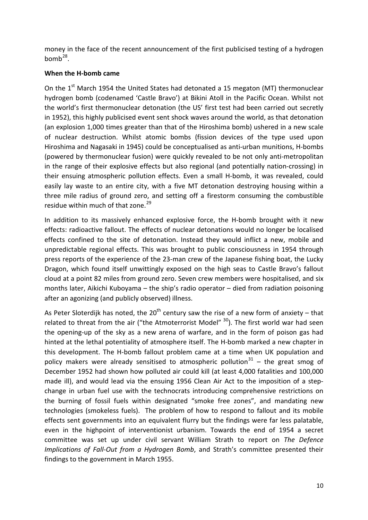money in the face of the recent announcement of the first publicised testing of a hydrogen  $homb^{28}$  $homb^{28}$  $homb^{28}$ .

# **When the H-bomb came**

On the  $1<sup>st</sup>$  March 1954 the United States had detonated a 15 megaton (MT) thermonuclear hydrogen bomb (codenamed 'Castle Bravo') at Bikini Atoll in the Pacific Ocean. Whilst not the world's first thermonuclear detonation (the US' first test had been carried out secretly in 1952), this highly publicised event sent shock waves around the world, as that detonation (an explosion 1,000 times greater than that of the Hiroshima bomb) ushered in a new scale of nuclear destruction. Whilst atomic bombs (fission devices of the type used upon Hiroshima and Nagasaki in 1945) could be conceptualised as anti-urban munitions, H-bombs (powered by thermonuclear fusion) were quickly revealed to be not only anti-metropolitan in the range of their explosive effects but also regional (and potentially nation-crossing) in their ensuing atmospheric pollution effects. Even a small H-bomb, it was revealed, could easily lay waste to an entire city, with a five MT detonation destroying housing within a three mile radius of ground zero, and setting off a firestorm consuming the combustible residue within much of that zone.<sup>[29](#page-24-28)</sup>

In addition to its massively enhanced explosive force, the H-bomb brought with it new effects: radioactive fallout. The effects of nuclear detonations would no longer be localised effects confined to the site of detonation. Instead they would inflict a new, mobile and unpredictable regional effects. This was brought to public consciousness in 1954 through press reports of the experience of the 23-man crew of the Japanese fishing boat, the Lucky Dragon, which found itself unwittingly exposed on the high seas to Castle Bravo's fallout cloud at a point 82 miles from ground zero. Seven crew members were hospitalised, and six months later, Aikichi Kuboyama – the ship's radio operator – died from radiation poisoning after an agonizing (and publicly observed) illness.

As Peter Sloterdijk has noted, the  $20^{th}$  century saw the rise of a new form of anxiety – that related to threat from the air ("the Atmoterrorist Model"  $30$ ). The first world war had seen the opening-up of the sky as a new arena of warfare, and in the form of poison gas had hinted at the lethal potentiality of atmosphere itself. The H-bomb marked a new chapter in this development. The H-bomb fallout problem came at a time when UK population and policy makers were already sensitised to atmospheric pollution<sup>[31](#page-25-0)</sup> – the great smog of December 1952 had shown how polluted air could kill (at least 4,000 fatalities and 100,000 made ill), and would lead via the ensuing 1956 Clean Air Act to the imposition of a stepchange in urban fuel use with the technocrats introducing comprehensive restrictions on the burning of fossil fuels within designated "smoke free zones", and mandating new technologies (smokeless fuels). The problem of how to respond to fallout and its mobile effects sent governments into an equivalent flurry but the findings were far less palatable, even in the highpoint of interventionist urbanism. Towards the end of 1954 a secret committee was set up under civil servant William Strath to report on *The Defence Implications of Fall-Out from a Hydrogen Bomb*, and Strath's committee presented their findings to the government in March 1955.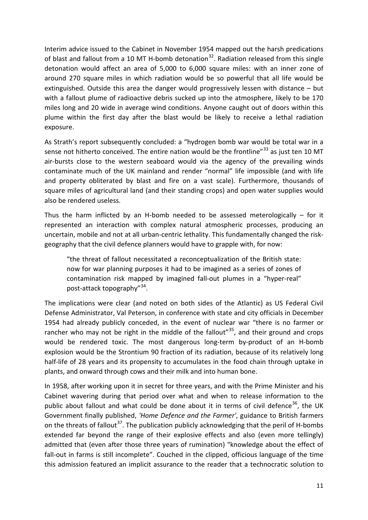Interim advice issued to the Cabinet in November 1954 mapped out the harsh predications of blast and fallout from a 10 MT H-bomb detonation<sup>32</sup>. Radiation released from this single detonation would affect an area of 5,000 to 6,000 square miles: with an inner zone of around 270 square miles in which radiation would be so powerful that all life would be extinguished. Outside this area the danger would progressively lessen with distance – but with a fallout plume of radioactive debris sucked up into the atmosphere, likely to be 170 miles long and 20 wide in average wind conditions. Anyone caught out of doors within this plume within the first day after the blast would be likely to receive a lethal radiation exposure.

As Strath's report subsequently concluded: a "hydrogen bomb war would be total war in a sense not hitherto conceived. The entire nation would be the frontline"<sup>[33](#page-25-2)</sup> as just ten 10 MT air-bursts close to the western seaboard would via the agency of the prevailing winds contaminate much of the UK mainland and render "normal" life impossible (and with life and property obliterated by blast and fire on a vast scale). Furthermore, thousands of square miles of agricultural land (and their standing crops) and open water supplies would also be rendered useless.

Thus the harm inflicted by an H-bomb needed to be assessed meterologically – for it represented an interaction with complex natural atmospheric processes, producing an uncertain, mobile and not at all urban-centric lethality. This fundamentally changed the riskgeography that the civil defence planners would have to grapple with, for now:

"the threat of fallout necessitated a reconceptualization of the British state: now for war planning purposes it had to be imagined as a series of zones of contamination risk mapped by imagined fall-out plumes in a "hyper-real" post-attack topography"[34](#page-25-3).

The implications were clear (and noted on both sides of the Atlantic) as US Federal Civil Defense Administrator, Val Peterson, in conference with state and city officials in December 1954 had already publicly conceded, in the event of nuclear war "there is no farmer or rancher who may not be right in the middle of the fallout"<sup>35</sup>, and their ground and crops would be rendered toxic. The most dangerous long-term by-product of an H-bomb explosion would be the Strontium 90 fraction of its radiation, because of its relatively long half-life of 28 years and its propensity to accumulates in the food chain through uptake in plants, and onward through cows and their milk and into human bone.

In 1958, after working upon it in secret for three years, and with the Prime Minister and his Cabinet wavering during that period over what and when to release information to the public about fallout and what could be done about it in terms of civil defence<sup>[36](#page-25-5)</sup>, the UK Government finally published, *'Home Defence and the Farmer'*, guidance to British farmers on the threats of fallout<sup>37</sup>. The publication publicly acknowledging that the peril of H-bombs extended far beyond the range of their explosive effects and also (even more tellingly) admitted that (even after those three years of rumination) "knowledge about the effect of fall-out in farms is still incomplete". Couched in the clipped, officious language of the time this admission featured an implicit assurance to the reader that a technocratic solution to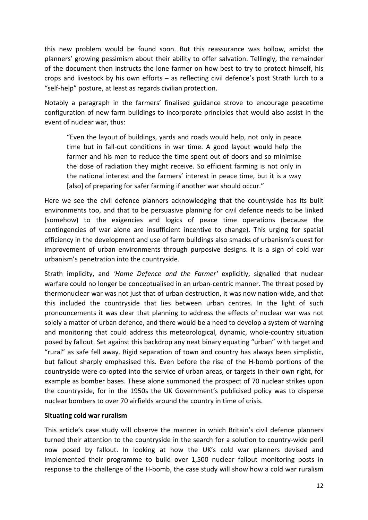this new problem would be found soon. But this reassurance was hollow, amidst the planners' growing pessimism about their ability to offer salvation. Tellingly, the remainder of the document then instructs the lone farmer on how best to try to protect himself, his crops and livestock by his own efforts – as reflecting civil defence's post Strath lurch to a "self-help" posture, at least as regards civilian protection.

Notably a paragraph in the farmers' finalised guidance strove to encourage peacetime configuration of new farm buildings to incorporate principles that would also assist in the event of nuclear war, thus:

"Even the layout of buildings, yards and roads would help, not only in peace time but in fall-out conditions in war time. A good layout would help the farmer and his men to reduce the time spent out of doors and so minimise the dose of radiation they might receive. So efficient farming is not only in the national interest and the farmers' interest in peace time, but it is a way [also] of preparing for safer farming if another war should occur."

Here we see the civil defence planners acknowledging that the countryside has its built environments too, and that to be persuasive planning for civil defence needs to be linked (somehow) to the exigencies and logics of peace time operations (because the contingencies of war alone are insufficient incentive to change). This urging for spatial efficiency in the development and use of farm buildings also smacks of urbanism's quest for improvement of urban environments through purposive designs. It is a sign of cold war urbanism's penetration into the countryside.

Strath implicity, and *'Home Defence and the Farmer'* explicitly, signalled that nuclear warfare could no longer be conceptualised in an urban-centric manner. The threat posed by thermonuclear war was not just that of urban destruction, it was now nation-wide, and that this included the countryside that lies between urban centres. In the light of such pronouncements it was clear that planning to address the effects of nuclear war was not solely a matter of urban defence, and there would be a need to develop a system of warning and monitoring that could address this meteorological, dynamic, whole-country situation posed by fallout. Set against this backdrop any neat binary equating "urban" with target and "rural" as safe fell away. Rigid separation of town and country has always been simplistic, but fallout sharply emphasised this. Even before the rise of the H-bomb portions of the countryside were co-opted into the service of urban areas, or targets in their own right, for example as bomber bases. These alone summoned the prospect of 70 nuclear strikes upon the countryside, for in the 1950s the UK Government's publicised policy was to disperse nuclear bombers to over 70 airfields around the country in time of crisis.

## **Situating cold war ruralism**

This article's case study will observe the manner in which Britain's civil defence planners turned their attention to the countryside in the search for a solution to country-wide peril now posed by fallout. In looking at how the UK's cold war planners devised and implemented their programme to build over 1,500 nuclear fallout monitoring posts in response to the challenge of the H-bomb, the case study will show how a cold war ruralism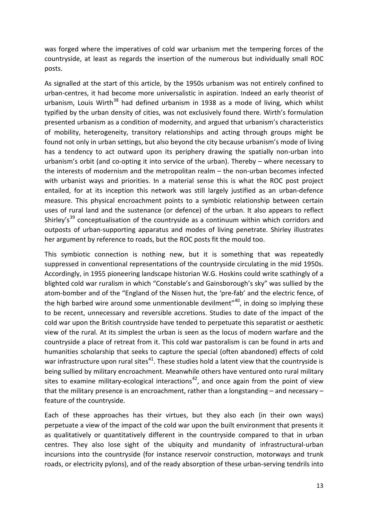was forged where the imperatives of cold war urbanism met the tempering forces of the countryside, at least as regards the insertion of the numerous but individually small ROC posts.

As signalled at the start of this article, by the 1950s urbanism was not entirely confined to urban-centres, it had become more universalistic in aspiration. Indeed an early theorist of urbanism, Louis Wirth<sup>[38](#page-25-7)</sup> had defined urbanism in 1938 as a mode of living, which whilst typified by the urban density of cities, was not exclusively found there. Wirth's formulation presented urbanism as a condition of modernity, and argued that urbanism's characteristics of mobility, heterogeneity, transitory relationships and acting through groups might be found not only in urban settings, but also beyond the city because urbanism's mode of living has a tendency to act outward upon its periphery drawing the spatially non-urban into urbanism's orbit (and co-opting it into service of the urban). Thereby – where necessary to the interests of modernism and the metropolitan realm – the non-urban becomes infected with urbanist ways and priorities. In a material sense this is what the ROC post project entailed, for at its inception this network was still largely justified as an urban-defence measure. This physical encroachment points to a symbiotic relationship between certain uses of rural land and the sustenance (or defence) of the urban. It also appears to reflect Shirley's<sup>[39](#page-25-8)</sup> conceptualisation of the countryside as a continuum within which corridors and outposts of urban-supporting apparatus and modes of living penetrate. Shirley illustrates her argument by reference to roads, but the ROC posts fit the mould too.

This symbiotic connection is nothing new, but it is something that was repeatedly suppressed in conventional representations of the countryside circulating in the mid 1950s. Accordingly, in 1955 pioneering landscape historian W.G. Hoskins could write scathingly of a blighted cold war ruralism in which "Constable's and Gainsborough's sky" was sullied by the atom-bomber and of the "England of the Nissen hut, the 'pre-fab' and the electric fence, of the high barbed wire around some unmentionable devilment"<sup>40</sup>, in doing so implying these to be recent, unnecessary and reversible accretions. Studies to date of the impact of the cold war upon the British countryside have tended to perpetuate this separatist or aesthetic view of the rural. At its simplest the urban is seen as the locus of modern warfare and the countryside a place of retreat from it. This cold war pastoralism is can be found in arts and humanities scholarship that seeks to capture the special (often abandoned) effects of cold war infrastructure upon rural sites<sup>[41](#page-25-10)</sup>. These studies hold a latent view that the countryside is being sullied by military encroachment. Meanwhile others have ventured onto rural military sites to examine military-ecological interactions<sup>[42](#page-25-11)</sup>, and once again from the point of view that the military presence is an encroachment, rather than a longstanding – and necessary – feature of the countryside.

Each of these approaches has their virtues, but they also each (in their own ways) perpetuate a view of the impact of the cold war upon the built environment that presents it as qualitatively or quantitatively different in the countryside compared to that in urban centres. They also lose sight of the ubiquity and mundanity of infrastructural-urban incursions into the countryside (for instance reservoir construction, motorways and trunk roads, or electricity pylons), and of the ready absorption of these urban-serving tendrils into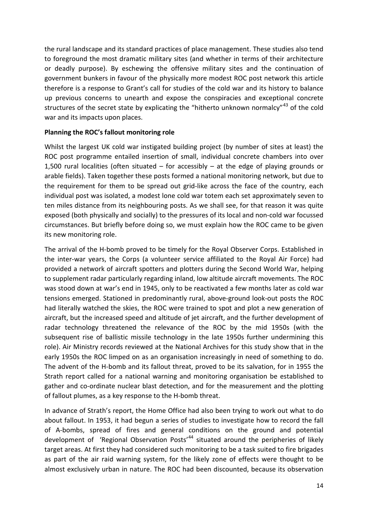the rural landscape and its standard practices of place management. These studies also tend to foreground the most dramatic military sites (and whether in terms of their architecture or deadly purpose). By eschewing the offensive military sites and the continuation of government bunkers in favour of the physically more modest ROC post network this article therefore is a response to Grant's call for studies of the cold war and its history to balance up previous concerns to unearth and expose the conspiracies and exceptional concrete structures of the secret state by explicating the "hitherto unknown normalcy"<sup>[43](#page-25-12)</sup> of the cold war and its impacts upon places.

## **Planning the ROC's fallout monitoring role**

Whilst the largest UK cold war instigated building project (by number of sites at least) the ROC post programme entailed insertion of small, individual concrete chambers into over 1,500 rural localities (often situated – for accessibly – at the edge of playing grounds or arable fields). Taken together these posts formed a national monitoring network, but due to the requirement for them to be spread out grid-like across the face of the country, each individual post was isolated, a modest lone cold war totem each set approximately seven to ten miles distance from its neighbouring posts. As we shall see, for that reason it was quite exposed (both physically and socially) to the pressures of its local and non-cold war focussed circumstances. But briefly before doing so, we must explain how the ROC came to be given its new monitoring role.

The arrival of the H-bomb proved to be timely for the Royal Observer Corps. Established in the inter-war years, the Corps (a volunteer service affiliated to the Royal Air Force) had provided a network of aircraft spotters and plotters during the Second World War, helping to supplement radar particularly regarding inland, low altitude aircraft movements. The ROC was stood down at war's end in 1945, only to be reactivated a few months later as cold war tensions emerged. Stationed in predominantly rural, above-ground look-out posts the ROC had literally watched the skies, the ROC were trained to spot and plot a new generation of aircraft, but the increased speed and altitude of jet aircraft, and the further development of radar technology threatened the relevance of the ROC by the mid 1950s (with the subsequent rise of ballistic missile technology in the late 1950s further undermining this role). Air Ministry records reviewed at the National Archives for this study show that in the early 1950s the ROC limped on as an organisation increasingly in need of something to do. The advent of the H-bomb and its fallout threat, proved to be its salvation, for in 1955 the Strath report called for a national warning and monitoring organisation be established to gather and co-ordinate nuclear blast detection, and for the measurement and the plotting of fallout plumes, as a key response to the H-bomb threat.

In advance of Strath's report, the Home Office had also been trying to work out what to do about fallout. In 1953, it had begun a series of studies to investigate how to record the fall of A-bombs, spread of fires and general conditions on the ground and potential development of 'Regional Observation Posts<sup> $44$ </sup> situated around the peripheries of likely target areas. At first they had considered such monitoring to be a task suited to fire brigades as part of the air raid warning system, for the likely zone of effects were thought to be almost exclusively urban in nature. The ROC had been discounted, because its observation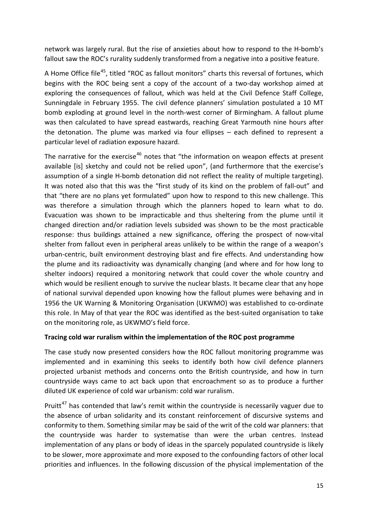network was largely rural. But the rise of anxieties about how to respond to the H-bomb's fallout saw the ROC's rurality suddenly transformed from a negative into a positive feature.

A Home Office file<sup>[45](#page-25-14)</sup>, titled "ROC as fallout monitors" charts this reversal of fortunes, which begins with the ROC being sent a copy of the account of a two-day workshop aimed at exploring the consequences of fallout, which was held at the Civil Defence Staff College, Sunningdale in February 1955. The civil defence planners' simulation postulated a 10 MT bomb exploding at ground level in the north-west corner of Birmingham. A fallout plume was then calculated to have spread eastwards, reaching Great Yarmouth nine hours after the detonation. The plume was marked via four ellipses – each defined to represent a particular level of radiation exposure hazard.

The narrative for the exercise<sup>[46](#page-25-15)</sup> notes that "the information on weapon effects at present available [is] sketchy and could not be relied upon", (and furthermore that the exercise's assumption of a single H-bomb detonation did not reflect the reality of multiple targeting). It was noted also that this was the "first study of its kind on the problem of fall-out" and that "there are no plans yet formulated" upon how to respond to this new challenge. This was therefore a simulation through which the planners hoped to learn what to do. Evacuation was shown to be impracticable and thus sheltering from the plume until it changed direction and/or radiation levels subsided was shown to be the most practicable response: thus buildings attained a new significance, offering the prospect of now-vital shelter from fallout even in peripheral areas unlikely to be within the range of a weapon's urban-centric, built environment destroying blast and fire effects. And understanding how the plume and its radioactivity was dynamically changing (and where and for how long to shelter indoors) required a monitoring network that could cover the whole country and which would be resilient enough to survive the nuclear blasts. It became clear that any hope of national survival depended upon knowing how the fallout plumes were behaving and in 1956 the UK Warning & Monitoring Organisation (UKWMO) was established to co-ordinate this role. In May of that year the ROC was identified as the best-suited organisation to take on the monitoring role, as UKWMO's field force.

## **Tracing cold war ruralism within the implementation of the ROC post programme**

The case study now presented considers how the ROC fallout monitoring programme was implemented and in examining this seeks to identify both how civil defence planners projected urbanist methods and concerns onto the British countryside, and how in turn countryside ways came to act back upon that encroachment so as to produce a further diluted UK experience of cold war urbanism: cold war ruralism.

Pruitt<sup>[47](#page-25-16)</sup> has contended that law's remit within the countryside is necessarily vaguer due to the absence of urban solidarity and its constant reinforcement of discursive systems and conformity to them. Something similar may be said of the writ of the cold war planners: that the countryside was harder to systematise than were the urban centres. Instead implementation of any plans or body of ideas in the sparcely populated countryside is likely to be slower, more approximate and more exposed to the confounding factors of other local priorities and influences. In the following discussion of the physical implementation of the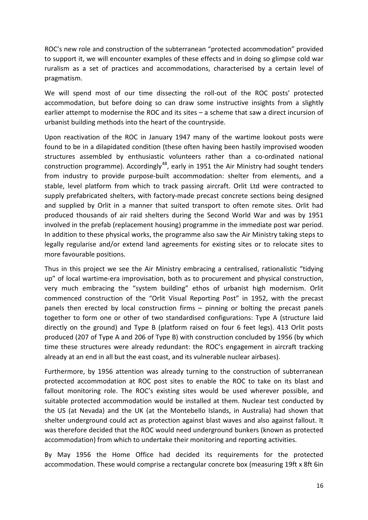ROC's new role and construction of the subterranean "protected accommodation" provided to support it, we will encounter examples of these effects and in doing so glimpse cold war ruralism as a set of practices and accommodations, characterised by a certain level of pragmatism.

We will spend most of our time dissecting the roll-out of the ROC posts' protected accommodation, but before doing so can draw some instructive insights from a slightly earlier attempt to modernise the ROC and its sites – a scheme that saw a direct incursion of urbanist building methods into the heart of the countryside.

Upon reactivation of the ROC in January 1947 many of the wartime lookout posts were found to be in a dilapidated condition (these often having been hastily improvised wooden structures assembled by enthusiastic volunteers rather than a co-ordinated national construction programme). Accordingly<sup>[48](#page-25-17)</sup>, early in 1951 the Air Ministry had sought tenders from industry to provide purpose-built accommodation: shelter from elements, and a stable, level platform from which to track passing aircraft. Orlit Ltd were contracted to supply prefabricated shelters, with factory-made precast concrete sections being designed and supplied by Orlit in a manner that suited transport to often remote sites. Orlit had produced thousands of air raid shelters during the Second World War and was by 1951 involved in the prefab (replacement housing) programme in the immediate post war period. In addition to these physical works, the programme also saw the Air Ministry taking steps to legally regularise and/or extend land agreements for existing sites or to relocate sites to more favourable positions.

Thus in this project we see the Air Ministry embracing a centralised, rationalistic "tidying up" of local wartime-era improvisation, both as to procurement and physical construction, very much embracing the "system building" ethos of urbanist high modernism. Orlit commenced construction of the "Orlit Visual Reporting Post" in 1952, with the precast panels then erected by local construction firms – pinning or bolting the precast panels together to form one or other of two standardised configurations: Type A (structure laid directly on the ground) and Type B (platform raised on four 6 feet legs). 413 Orlit posts produced (207 of Type A and 206 of Type B) with construction concluded by 1956 (by which time these structures were already redundant: the ROC's engagement in aircraft tracking already at an end in all but the east coast, and its vulnerable nuclear airbases).

Furthermore, by 1956 attention was already turning to the construction of subterranean protected accommodation at ROC post sites to enable the ROC to take on its blast and fallout monitoring role. The ROC's existing sites would be used wherever possible, and suitable protected accommodation would be installed at them. Nuclear test conducted by the US (at Nevada) and the UK (at the Montebello Islands, in Australia) had shown that shelter underground could act as protection against blast waves and also against fallout. It was therefore decided that the ROC would need underground bunkers (known as protected accommodation) from which to undertake their monitoring and reporting activities.

By May 1956 the Home Office had decided its requirements for the protected accommodation. These would comprise a rectangular concrete box (measuring 19ft x 8ft 6in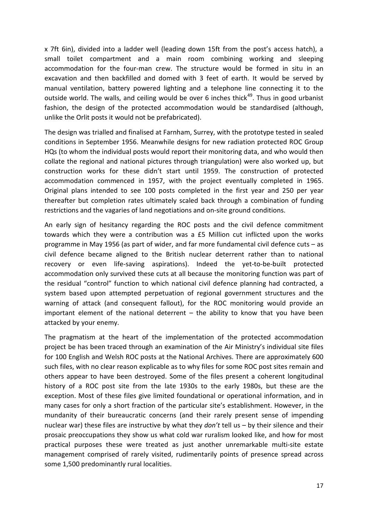x 7ft 6in), divided into a ladder well (leading down 15ft from the post's access hatch), a small toilet compartment and a main room combining working and sleeping accommodation for the four-man crew. The structure would be formed in situ in an excavation and then backfilled and domed with 3 feet of earth. It would be served by manual ventilation, battery powered lighting and a telephone line connecting it to the outside world. The walls, and ceiling would be over 6 inches thick<sup>49</sup>. Thus in good urbanist fashion, the design of the protected accommodation would be standardised (although, unlike the Orlit posts it would not be prefabricated).

The design was trialled and finalised at Farnham, Surrey, with the prototype tested in sealed conditions in September 1956. Meanwhile designs for new radiation protected ROC Group HQs (to whom the individual posts would report their monitoring data, and who would then collate the regional and national pictures through triangulation) were also worked up, but construction works for these didn't start until 1959. The construction of protected accommodation commenced in 1957, with the project eventually completed in 1965. Original plans intended to see 100 posts completed in the first year and 250 per year thereafter but completion rates ultimately scaled back through a combination of funding restrictions and the vagaries of land negotiations and on-site ground conditions.

An early sign of hesitancy regarding the ROC posts and the civil defence commitment towards which they were a contribution was a £5 Million cut inflicted upon the works programme in May 1956 (as part of wider, and far more fundamental civil defence cuts – as civil defence became aligned to the British nuclear deterrent rather than to national recovery or even life-saving aspirations). Indeed the yet-to-be-built protected accommodation only survived these cuts at all because the monitoring function was part of the residual "control" function to which national civil defence planning had contracted, a system based upon attempted perpetuation of regional government structures and the warning of attack (and consequent fallout), for the ROC monitoring would provide an important element of the national deterrent – the ability to know that you have been attacked by your enemy.

The pragmatism at the heart of the implementation of the protected accommodation project be has been traced through an examination of the Air Ministry's individual site files for 100 English and Welsh ROC posts at the National Archives. There are approximately 600 such files, with no clear reason explicable as to why files for some ROC post sites remain and others appear to have been destroyed. Some of the files present a coherent longitudinal history of a ROC post site from the late 1930s to the early 1980s, but these are the exception. Most of these files give limited foundational or operational information, and in many cases for only a short fraction of the particular site's establishment. However, in the mundanity of their bureaucratic concerns (and their rarely present sense of impending nuclear war) these files are instructive by what they *don't* tell us – by their silence and their prosaic preoccupations they show us what cold war ruralism looked like, and how for most practical purposes these were treated as just another unremarkable multi-site estate management comprised of rarely visited, rudimentarily points of presence spread across some 1,500 predominantly rural localities.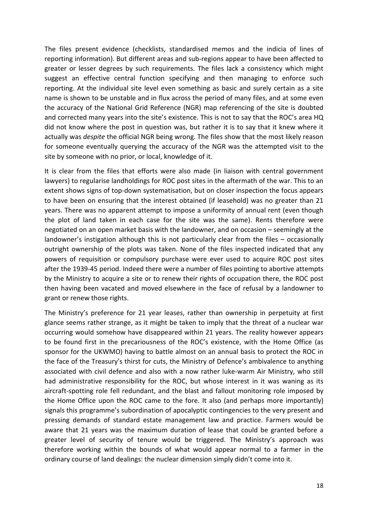The files present evidence (checklists, standardised memos and the indicia of lines of reporting information). But different areas and sub-regions appear to have been affected to greater or lesser degrees by such requirements. The files lack a consistency which might suggest an effective central function specifying and then managing to enforce such reporting. At the individual site level even something as basic and surely certain as a site name is shown to be unstable and in flux across the period of many files, and at some even the accuracy of the National Grid Reference (NGR) map referencing of the site is doubted and corrected many years into the site's existence. This is not to say that the ROC's area HQ did not know where the post in question was, but rather it is to say that it knew where it actually was *despite* the official NGR being wrong. The files show that the most likely reason for someone eventually querying the accuracy of the NGR was the attempted visit to the site by someone with no prior, or local, knowledge of it.

It is clear from the files that efforts were also made (in liaison with central government lawyers) to regularise landholdings for ROC post sites in the aftermath of the war. This to an extent shows signs of top-down systematisation, but on closer inspection the focus appears to have been on ensuring that the interest obtained (if leasehold) was no greater than 21 years. There was no apparent attempt to impose a uniformity of annual rent (even though the plot of land taken in each case for the site was the same). Rents therefore were negotiated on an open market basis with the landowner, and on occasion – seemingly at the landowner's instigation although this is not particularly clear from the files – occasionally outright ownership of the plots was taken. None of the files inspected indicated that any powers of requisition or compulsory purchase were ever used to acquire ROC post sites after the 1939-45 period. Indeed there were a number of files pointing to abortive attempts by the Ministry to acquire a site or to renew their rights of occupation there, the ROC post then having been vacated and moved elsewhere in the face of refusal by a landowner to grant or renew those rights.

The Ministry's preference for 21 year leases, rather than ownership in perpetuity at first glance seems rather strange, as it might be taken to imply that the threat of a nuclear war occurring would somehow have disappeared within 21 years. The reality however appears to be found first in the precariousness of the ROC's existence, with the Home Office (as sponsor for the UKWMO) having to battle almost on an annual basis to protect the ROC in the face of the Treasury's thirst for cuts, the Ministry of Defence's ambivalence to anything associated with civil defence and also with a now rather luke-warm Air Ministry, who still had administrative responsibility for the ROC, but whose interest in it was waning as its aircraft-spotting role fell redundant, and the blast and fallout monitoring role imposed by the Home Office upon the ROC came to the fore. It also (and perhaps more importantly) signals this programme's subordination of apocalyptic contingencies to the very present and pressing demands of standard estate management law and practice. Farmers would be aware that 21 years was the maximum duration of lease that could be granted before a greater level of security of tenure would be triggered. The Ministry's approach was therefore working within the bounds of what would appear normal to a farmer in the ordinary course of land dealings: the nuclear dimension simply didn't come into it.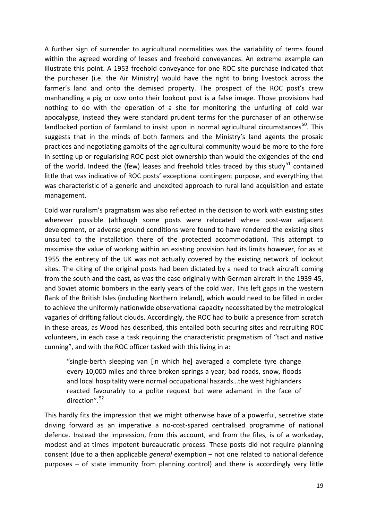A further sign of surrender to agricultural normalities was the variability of terms found within the agreed wording of leases and freehold conveyances. An extreme example can illustrate this point. A 1953 freehold conveyance for one ROC site purchase indicated that the purchaser (i.e. the Air Ministry) would have the right to bring livestock across the farmer's land and onto the demised property. The prospect of the ROC post's crew manhandling a pig or cow onto their lookout post is a false image. Those provisions had nothing to do with the operation of a site for monitoring the unfurling of cold war apocalypse, instead they were standard prudent terms for the purchaser of an otherwise landlocked portion of farmland to insist upon in normal agricultural circumstances<sup>50</sup>. This suggests that in the minds of both farmers and the Ministry's land agents the prosaic practices and negotiating gambits of the agricultural community would be more to the fore in setting up or regularising ROC post plot ownership than would the exigencies of the end of the world. Indeed the (few) leases and freehold titles traced by this study<sup>[51](#page-25-20)</sup> contained little that was indicative of ROC posts' exceptional contingent purpose, and everything that was characteristic of a generic and unexcited approach to rural land acquisition and estate management.

Cold war ruralism's pragmatism was also reflected in the decision to work with existing sites wherever possible (although some posts were relocated where post-war adjacent development, or adverse ground conditions were found to have rendered the existing sites unsuited to the installation there of the protected accommodation). This attempt to maximise the value of working within an existing provision had its limits however, for as at 1955 the entirety of the UK was not actually covered by the existing network of lookout sites. The citing of the original posts had been dictated by a need to track aircraft coming from the south and the east, as was the case originally with German aircraft in the 1939-45, and Soviet atomic bombers in the early years of the cold war. This left gaps in the western flank of the British Isles (including Northern Ireland), which would need to be filled in order to achieve the uniformly nationwide observational capacity necessitated by the metrological vagaries of drifting fallout clouds. Accordingly, the ROC had to build a presence from scratch in these areas, as Wood has described, this entailed both securing sites and recruiting ROC volunteers, in each case a task requiring the characteristic pragmatism of "tact and native cunning", and with the ROC officer tasked with this living in a:

"single-berth sleeping van [in which he] averaged a complete tyre change every 10,000 miles and three broken springs a year; bad roads, snow, floods and local hospitality were normal occupational hazards…the west highlanders reacted favourably to a polite request but were adamant in the face of direction".[52](#page-25-21)

This hardly fits the impression that we might otherwise have of a powerful, secretive state driving forward as an imperative a no-cost-spared centralised programme of national defence. Instead the impression, from this account, and from the files, is of a workaday, modest and at times impotent bureaucratic process. These posts did not require planning consent (due to a then applicable *general* exemption – not one related to national defence purposes – of state immunity from planning control) and there is accordingly very little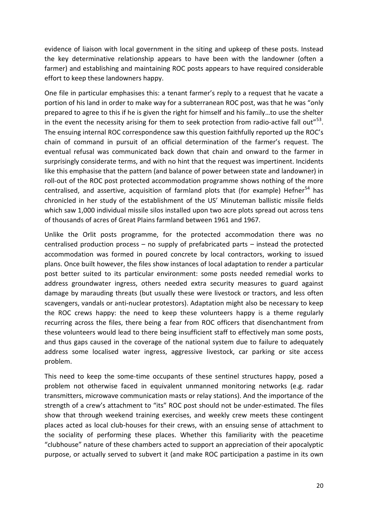evidence of liaison with local government in the siting and upkeep of these posts. Instead the key determinative relationship appears to have been with the landowner (often a farmer) and establishing and maintaining ROC posts appears to have required considerable effort to keep these landowners happy.

One file in particular emphasises this: a tenant farmer's reply to a request that he vacate a portion of his land in order to make way for a subterranean ROC post, was that he was "only prepared to agree to this if he is given the right for himself and his family…to use the shelter in the event the necessity arising for them to seek protection from radio-active fall out $^{653}$  $^{653}$  $^{653}$ . The ensuing internal ROC correspondence saw this question faithfully reported up the ROC's chain of command in pursuit of an official determination of the farmer's request. The eventual refusal was communicated back down that chain and onward to the farmer in surprisingly considerate terms, and with no hint that the request was impertinent. Incidents like this emphasise that the pattern (and balance of power between state and landowner) in roll-out of the ROC post protected accommodation programme shows nothing of the more centralised, and assertive, acquisition of farmland plots that (for example) Hefner<sup>[54](#page-25-23)</sup> has chronicled in her study of the establishment of the US' Minuteman ballistic missile fields which saw 1,000 individual missile silos installed upon two acre plots spread out across tens of thousands of acres of Great Plains farmland between 1961 and 1967.

Unlike the Orlit posts programme, for the protected accommodation there was no centralised production process – no supply of prefabricated parts – instead the protected accommodation was formed in poured concrete by local contractors, working to issued plans. Once built however, the files show instances of local adaptation to render a particular post better suited to its particular environment: some posts needed remedial works to address groundwater ingress, others needed extra security measures to guard against damage by marauding threats (but usually these were livestock or tractors, and less often scavengers, vandals or anti-nuclear protestors). Adaptation might also be necessary to keep the ROC crews happy: the need to keep these volunteers happy is a theme regularly recurring across the files, there being a fear from ROC officers that disenchantment from these volunteers would lead to there being insufficient staff to effectively man some posts, and thus gaps caused in the coverage of the national system due to failure to adequately address some localised water ingress, aggressive livestock, car parking or site access problem.

This need to keep the some-time occupants of these sentinel structures happy, posed a problem not otherwise faced in equivalent unmanned monitoring networks (e.g. radar transmitters, microwave communication masts or relay stations). And the importance of the strength of a crew's attachment to "its" ROC post should not be under-estimated. The files show that through weekend training exercises, and weekly crew meets these contingent places acted as local club-houses for their crews, with an ensuing sense of attachment to the sociality of performing these places. Whether this familiarity with the peacetime "clubhouse" nature of these chambers acted to support an appreciation of their apocalyptic purpose, or actually served to subvert it (and make ROC participation a pastime in its own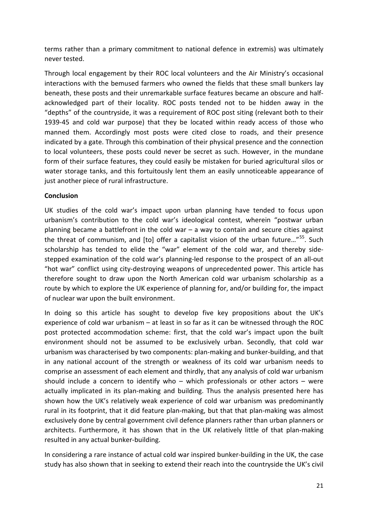terms rather than a primary commitment to national defence in extremis) was ultimately never tested.

Through local engagement by their ROC local volunteers and the Air Ministry's occasional interactions with the bemused farmers who owned the fields that these small bunkers lay beneath, these posts and their unremarkable surface features became an obscure and halfacknowledged part of their locality. ROC posts tended not to be hidden away in the "depths" of the countryside, it was a requirement of ROC post siting (relevant both to their 1939-45 and cold war purpose) that they be located within ready access of those who manned them. Accordingly most posts were cited close to roads, and their presence indicated by a gate. Through this combination of their physical presence and the connection to local volunteers, these posts could never be secret as such. However, in the mundane form of their surface features, they could easily be mistaken for buried agricultural silos or water storage tanks, and this fortuitously lent them an easily unnoticeable appearance of just another piece of rural infrastructure.

#### **Conclusion**

UK studies of the cold war's impact upon urban planning have tended to focus upon urbanism's contribution to the cold war's ideological contest, wherein "postwar urban planning became a battlefront in the cold war  $-$  a way to contain and secure cities against the threat of communism, and [to] offer a capitalist vision of the urban future..."<sup>55</sup>. Such scholarship has tended to elide the "war" element of the cold war, and thereby sidestepped examination of the cold war's planning-led response to the prospect of an all-out "hot war" conflict using city-destroying weapons of unprecedented power. This article has therefore sought to draw upon the North American cold war urbanism scholarship as a route by which to explore the UK experience of planning for, and/or building for, the impact of nuclear war upon the built environment.

In doing so this article has sought to develop five key propositions about the UK's experience of cold war urbanism – at least in so far as it can be witnessed through the ROC post protected accommodation scheme: first, that the cold war's impact upon the built environment should not be assumed to be exclusively urban. Secondly, that cold war urbanism was characterised by two components: plan-making and bunker-building, and that in any national account of the strength or weakness of its cold war urbanism needs to comprise an assessment of each element and thirdly, that any analysis of cold war urbanism should include a concern to identify who – which professionals or other actors – were actually implicated in its plan-making and building. Thus the analysis presented here has shown how the UK's relatively weak experience of cold war urbanism was predominantly rural in its footprint, that it did feature plan-making, but that that plan-making was almost exclusively done by central government civil defence planners rather than urban planners or architects. Furthermore, it has shown that in the UK relatively little of that plan-making resulted in any actual bunker-building.

In considering a rare instance of actual cold war inspired bunker-building in the UK, the case study has also shown that in seeking to extend their reach into the countryside the UK's civil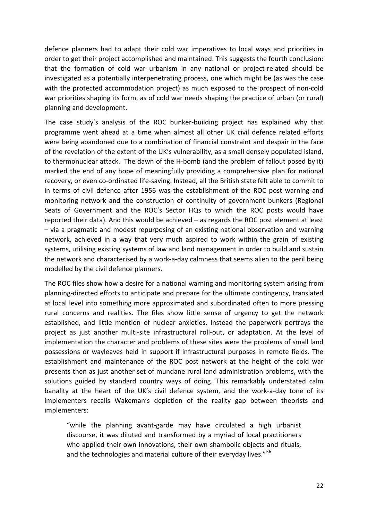defence planners had to adapt their cold war imperatives to local ways and priorities in order to get their project accomplished and maintained. This suggests the fourth conclusion: that the formation of cold war urbanism in any national or project-related should be investigated as a potentially interpenetrating process, one which might be (as was the case with the protected accommodation project) as much exposed to the prospect of non-cold war priorities shaping its form, as of cold war needs shaping the practice of urban (or rural) planning and development.

The case study's analysis of the ROC bunker-building project has explained why that programme went ahead at a time when almost all other UK civil defence related efforts were being abandoned due to a combination of financial constraint and despair in the face of the revelation of the extent of the UK's vulnerability, as a small densely populated island, to thermonuclear attack. The dawn of the H-bomb (and the problem of fallout posed by it) marked the end of any hope of meaningfully providing a comprehensive plan for national recovery, or even co-ordinated life-saving. Instead, all the British state felt able to commit to in terms of civil defence after 1956 was the establishment of the ROC post warning and monitoring network and the construction of continuity of government bunkers (Regional Seats of Government and the ROC's Sector HQs to which the ROC posts would have reported their data). And this would be achieved – as regards the ROC post element at least – via a pragmatic and modest repurposing of an existing national observation and warning network, achieved in a way that very much aspired to work within the grain of existing systems, utilising existing systems of law and land management in order to build and sustain the network and characterised by a work-a-day calmness that seems alien to the peril being modelled by the civil defence planners.

The ROC files show how a desire for a national warning and monitoring system arising from planning-directed efforts to anticipate and prepare for the ultimate contingency, translated at local level into something more approximated and subordinated often to more pressing rural concerns and realities. The files show little sense of urgency to get the network established, and little mention of nuclear anxieties. Instead the paperwork portrays the project as just another multi-site infrastructural roll-out, or adaptation. At the level of implementation the character and problems of these sites were the problems of small land possessions or wayleaves held in support if infrastructural purposes in remote fields. The establishment and maintenance of the ROC post network at the height of the cold war presents then as just another set of mundane rural land administration problems, with the solutions guided by standard country ways of doing. This remarkably understated calm banality at the heart of the UK's civil defence system, and the work-a-day tone of its implementers recalls Wakeman's depiction of the reality gap between theorists and implementers:

"while the planning avant-garde may have circulated a high urbanist discourse, it was diluted and transformed by a myriad of local practitioners who applied their own innovations, their own shambolic objects and rituals, and the technologies and material culture of their everyday lives."<sup>[56](#page-25-25)</sup>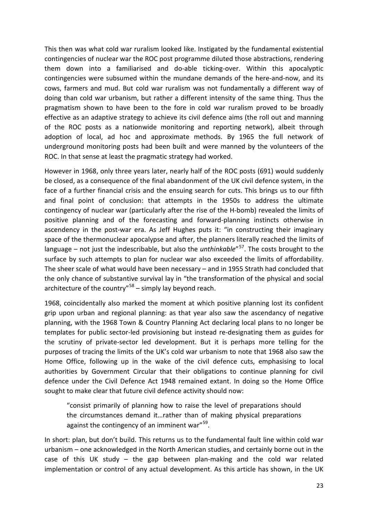This then was what cold war ruralism looked like. Instigated by the fundamental existential contingencies of nuclear war the ROC post programme diluted those abstractions, rendering them down into a familiarised and do-able ticking-over. Within this apocalyptic contingencies were subsumed within the mundane demands of the here-and-now, and its cows, farmers and mud. But cold war ruralism was not fundamentally a different way of doing than cold war urbanism, but rather a different intensity of the same thing. Thus the pragmatism shown to have been to the fore in cold war ruralism proved to be broadly effective as an adaptive strategy to achieve its civil defence aims (the roll out and manning of the ROC posts as a nationwide monitoring and reporting network), albeit through adoption of local, ad hoc and approximate methods. By 1965 the full network of underground monitoring posts had been built and were manned by the volunteers of the ROC. In that sense at least the pragmatic strategy had worked.

However in 1968, only three years later, nearly half of the ROC posts (691) would suddenly be closed, as a consequence of the final abandonment of the UK civil defence system, in the face of a further financial crisis and the ensuing search for cuts. This brings us to our fifth and final point of conclusion: that attempts in the 1950s to address the ultimate contingency of nuclear war (particularly after the rise of the H-bomb) revealed the limits of positive planning and of the forecasting and forward-planning instincts otherwise in ascendency in the post-war era. As Jeff Hughes puts it: "in constructing their imaginary space of the thermonuclear apocalypse and after, the planners literally reached the limits of language – not just the indescribable, but also the *unthinkable*"[57](#page-25-26). The costs brought to the surface by such attempts to plan for nuclear war also exceeded the limits of affordability. The sheer scale of what would have been necessary – and in 1955 Strath had concluded that the only chance of substantive survival lay in "the transformation of the physical and social architecture of the country" $58 58 -$  simply lay beyond reach.

1968, coincidentally also marked the moment at which positive planning lost its confident grip upon urban and regional planning: as that year also saw the ascendancy of negative planning, with the 1968 Town & Country Planning Act declaring local plans to no longer be templates for public sector-led provisioning but instead re-designating them as guides for the scrutiny of private-sector led development. But it is perhaps more telling for the purposes of tracing the limits of the UK's cold war urbanism to note that 1968 also saw the Home Office, following up in the wake of the civil defence cuts, emphasising to local authorities by Government Circular that their obligations to continue planning for civil defence under the Civil Defence Act 1948 remained extant. In doing so the Home Office sought to make clear that future civil defence activity should now:

"consist primarily of planning how to raise the level of preparations should the circumstances demand it…rather than of making physical preparations against the contingency of an imminent war"<sup>[59](#page-25-28)</sup>.

In short: plan, but don't build. This returns us to the fundamental fault line within cold war urbanism – one acknowledged in the North American studies, and certainly borne out in the case of this UK study – the gap between plan-making and the cold war related implementation or control of any actual development. As this article has shown, in the UK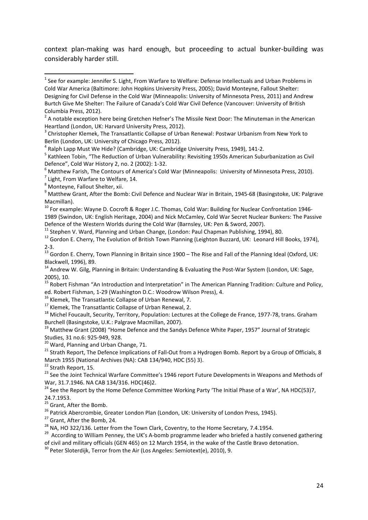context plan-making was hard enough, but proceeding to actual bunker-building was considerably harder still.

<span id="page-24-10"></span>

<span id="page-24-15"></span>

<span id="page-24-17"></span><span id="page-24-16"></span>

ed. Robert Fishman, 1-29 (Washington D.C.: Woodrow Wilson Press), 4.<br><sup>16</sup> Klemek, The Transatlantic Collapse of Urban Renewal, 7.<br><sup>17</sup> Klemek, The Transatlantic Collapse of Urban Renewal, 2.<br><sup>18</sup> Michel Foucault, Security, Burchell (Basingstoke, U.K.: Palgrave Macmillan, 2007).

<span id="page-24-18"></span><sup>19</sup> Matthew Grant (2008) "Home Defence and the Sandys Defence White Paper, 1957" Journal of Strategic<br>Studies, 31 no.6: 925-949, 928.

<span id="page-24-20"></span><span id="page-24-19"></span><sup>20</sup> Ward, Planning and Urban Change, 71.<br><sup>21</sup> Strath Report, The Defence Implications of Fall-Out from a Hydrogen Bomb. Report by a Group of Officials, 8 March 1955 (National Archives (NA): CAB 134/940, HDC (55) 3).<br><sup>22</sup> Strath Report, 15.<br><sup>23</sup> See the Joint Technical Warfare Committee's 1946 report Future Developments in Weapons and Methods of

<span id="page-24-21"></span>

<span id="page-24-23"></span><span id="page-24-22"></span>War, 31.7.1946. NA CAB 134/316. HDC(46)2.<br><sup>24</sup> See the Report by the Home Defence Committee Working Party 'The Initial Phase of a War', NA HDC(53)7,

24.7.1953.<br> $25$  Grant, After the Bomb.

<span id="page-24-26"></span>

<span id="page-24-28"></span><span id="page-24-27"></span>

<span id="page-24-25"></span><span id="page-24-24"></span><sup>26</sup> Patrick Abercrombie, Greater London Plan (London, UK: University of London Press, 1945).<br><sup>27</sup> Grant, After the Bomb, 24.<br><sup>28</sup> NA, HO 322/136. Letter from the Town Clark, Coventry, to the Home Secretary, 7.4.1954.<br><sup>29</sup> of civil and military officials (GEN 465) on 12 March 1954, in the wake of the Castle Bravo detonation.

<span id="page-24-29"></span> $30$  Peter Sloterdijk, Terror from the Air (Los Angeles: Semiotext(e), 2010), 9.

<span id="page-24-0"></span> $1$  See for example: Jennifer S. Light, From Warfare to Welfare: Defense Intellectuals and Urban Problems in Cold War America (Baltimore: John Hopkins University Press, 2005); David Monteyne, Fallout Shelter: Designing for Civil Defense in the Cold War (Minneapolis: University of Minnesota Press, 2011) and Andrew Burtch Give Me Shelter: The Failure of Canada's Cold War Civil Defence (Vancouver: University of British

Columbia Press, 2012).

<span id="page-24-1"></span> $2$  A notable exception here being Gretchen Hefner's The Missile Next Door: The Minuteman in the American Heartland (London, UK: Harvard University Press, 2012).

<sup>&</sup>lt;sup>3</sup> Christopher Klemek, The Transatlantic Collapse of Urban Renewal: Postwar Urbanism from New York to

<span id="page-24-4"></span>

<span id="page-24-3"></span><span id="page-24-2"></span>Berlin (London, UK: University of Chicago Press, 2012).<br><sup>4</sup> Ralph Lapp Must We Hide? (Cambridge, UK: Cambridge University Press, 1949), 141-2.<br><sup>5</sup> Kathleen Tobin, "The Reduction of Urban Vulnerability: Revisiting 1950s Ame

<span id="page-24-5"></span><sup>&</sup>lt;sup>6</sup> Matthew Farish, The Contours of America's Cold War (Minneapolis: University of Minnesota Press, 2010).<br><sup>7</sup> Light, From Warfare to Welfare, 14.<br><sup>8</sup> Monteyne, Fallout Shelter, xii.

<span id="page-24-6"></span>

<span id="page-24-8"></span><span id="page-24-7"></span><sup>9</sup> Matthew Grant, After the Bomb: Civil Defence and Nuclear War in Britain, 1945-68 (Basingstoke, UK: Palgrave

<span id="page-24-9"></span>Macmillan).<br><sup>10</sup> For example: Wayne D. Cocroft & Roger J.C. Thomas, Cold War: Building for Nuclear Confrontation 1946-1989 (Swindon, UK: English Heritage, 2004) and Nick McCamley, Cold War Secret Nuclear Bunkers: The Passive Defence of the Western Worlds during the Cold War (Barnsley, UK: Pen & Sword, 2007).<br><sup>11</sup> Stephen V. Ward, Planning and Urban Change, (London: Paul Chapman Publishing, 1994), 80.<br><sup>12</sup> Gordon E. Cherry, The Evolution of Bri

<span id="page-24-11"></span>

<span id="page-24-12"></span><sup>2-3.&</sup>lt;br><sup>13</sup> Gordon E. Cherry, Town Planning in Britain since 1900 – The Rise and Fall of the Planning Ideal (Oxford, UK: Blackwell, 1996), 89.<br><sup>14</sup> Andrew W. Gilg, Planning in Britain: Understanding & Evaluating the Post-War System (London, UK: Sage,

<span id="page-24-13"></span><sup>2005), 10.</sup>

<span id="page-24-14"></span><sup>&</sup>lt;sup>15</sup> Robert Fishman "An Introduction and Interpretation" in The American Planning Tradition: Culture and Policy,